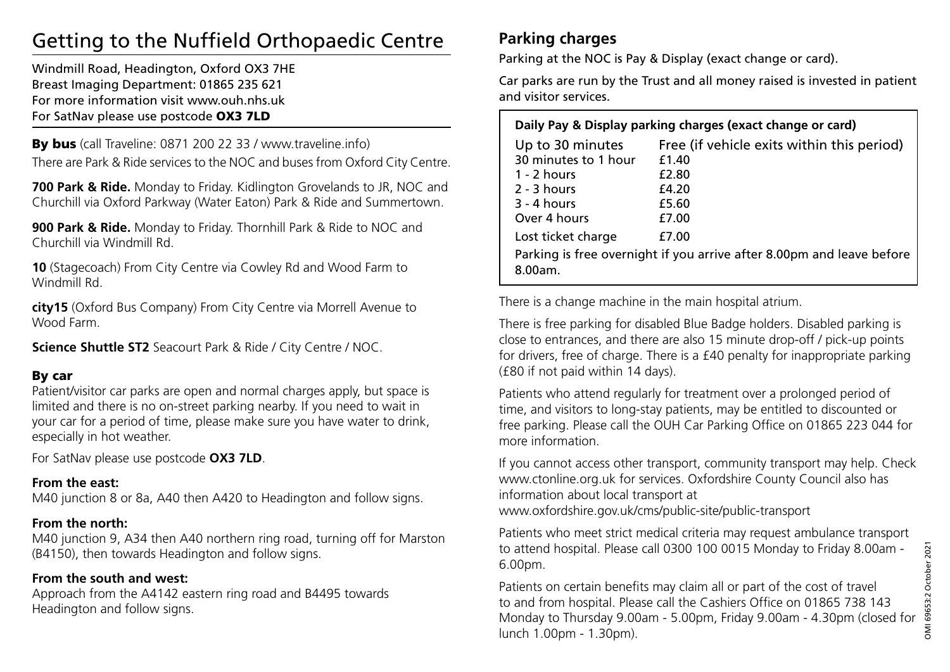# Getting to the Nuffield Orthopaedic Centre

Windmill Road, Headington, Oxford OX3 7HE Breast Imaging Department: 01865 235 621 For more information visit www.ouh.nhs.uk For SatNav please use postcode OX3 7LD

By bus (call Traveline: 0871 200 22 33 / www.traveline.info) There are Park & Ride services to the NOC and buses from Oxford City Centre.

**700 Park & Ride.** Monday to Friday. Kidlington Grovelands to JR, NOC and Churchill via Oxford Parkway (Water Eaton) Park & Ride and Summertown.

**900 Park & Ride.** Monday to Friday. Thornhill Park & Ride to NOC and Churchill via Windmill Rd.

**10** (Stagecoach) From City Centre via Cowley Rd and Wood Farm to Windmill Rd.

**city15** (Oxford Bus Company) From City Centre via Morrell Avenue to Wood Farm.

**Science Shuttle ST2** Seacourt Park & Ride / City Centre / NOC.

### By car

Patient/visitor car parks are open and normal charges apply, but space is limited and there is no on-street parking nearby. If you need to wait in your car for a period of time, please make sure you have water to drink, especially in hot weather.

For SatNav please use postcode **OX3 7LD**.

### **From the east:**

M40 junction 8 or 8a, A40 then A420 to Headington and follow signs.

### **From the north:**

M40 junction 9, A34 then A40 northern ring road, turning off for Marston (B4150), then towards Headington and follow signs.

### **From the south and west:**

Approach from the A4142 eastern ring road and B4495 towards Headington and follow signs.

## **Parking charges**

Parking at the NOC is Pay & Display (exact change or card).

Car parks are run by the Trust and all money raised is invested in patient and visitor services.

| Daily Pay & Display parking charges (exact change or card)                                                      |                                                                                          |
|-----------------------------------------------------------------------------------------------------------------|------------------------------------------------------------------------------------------|
| Up to 30 minutes<br>30 minutes to 1 hour<br>1 - 2 hours<br>$2 - 3$ hours<br>$3 - 4$ hours<br>Over 4 hours       | Free (if vehicle exits within this period)<br>f 1.40<br>£2.80<br>£4.20<br>£5.60<br>£7.00 |
| Lost ticket charge<br>£7.00<br>Parking is free overnight if you arrive after 8.00pm and leave before<br>8.00am. |                                                                                          |

There is a change machine in the main hospital atrium.

There is free parking for disabled Blue Badge holders. Disabled parking is close to entrances, and there are also 15 minute drop-off / pick-up points for drivers, free of charge. There is a £40 penalty for inappropriate parking (£80 if not paid within 14 days).

Patients who attend regularly for treatment over a prolonged period of time, and visitors to long-stay patients, may be entitled to discounted or free parking. Please call the OUH Car Parking Office on 01865 223 044 for more information.

If you cannot access other transport, community transport may help. Check www.ctonline.org.uk for services. Oxfordshire County Council also has information about local transport at www.oxfordshire.gov.uk/cms/public-site/public-transport

Patients who meet strict medical criteria may request ambulance transport to attend hospital. Please call 0300 100 0015 Monday to Friday 8.00am - 6.00pm.

Patients on certain benefits may claim all or part of the cost of travel to and from hospital. Please call the Cashiers Office on 01865 738 143 Monday to Thursday 9.00am - 5.00pm, Friday 9.00am - 4.30pm (closed for lunch 1.00pm - 1.30pm).